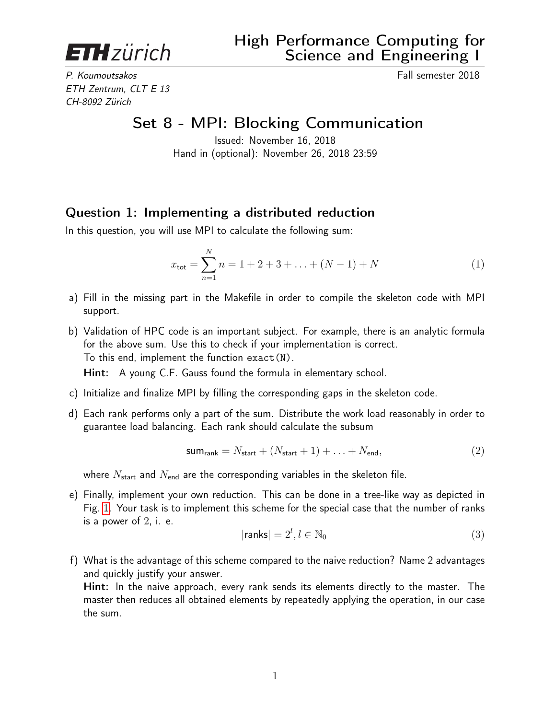**ETH**zürich

P. Koumoutsakos Fall semester 2018 ETH Zentrum, CLT E 13 CH-8092 Zürich

Set 8 - MPI: Blocking Communication

Issued: November 16, 2018 Hand in (optional): November 26, 2018 23:59

## Question 1: Implementing a distributed reduction

In this question, you will use MPI to calculate the following sum:

$$
x_{\text{tot}} = \sum_{n=1}^{N} n = 1 + 2 + 3 + \dots + (N - 1) + N \tag{1}
$$

- a) Fill in the missing part in the Makefile in order to compile the skeleton code with MPI support.
- b) Validation of HPC code is an important subject. For example, there is an analytic formula for the above sum. Use this to check if your implementation is correct. To this end, implement the function exact(N).

Hint: A young C.F. Gauss found the formula in elementary school.

- c) Initialize and finalize MPI by filling the corresponding gaps in the skeleton code.
- d) Each rank performs only a part of the sum. Distribute the work load reasonably in order to guarantee load balancing. Each rank should calculate the subsum

$$
sumrank = Nstart + (Nstart + 1) + ... + Nend,
$$
\n(2)

where  $N_{\text{start}}$  and  $N_{\text{end}}$  are the corresponding variables in the skeleton file.

e) Finally, implement your own reduction. This can be done in a tree-like way as depicted in Fig. [1.](#page-1-0) Your task is to implement this scheme for the special case that the number of ranks is a power of  $2$ , i. e.

$$
|\mathsf{ranks}| = 2^l, l \in \mathbb{N}_0 \tag{3}
$$

f) What is the advantage of this scheme compared to the naive reduction? Name 2 advantages and quickly justify your answer.

Hint: In the naive approach, every rank sends its elements directly to the master. The master then reduces all obtained elements by repeatedly applying the operation, in our case the sum.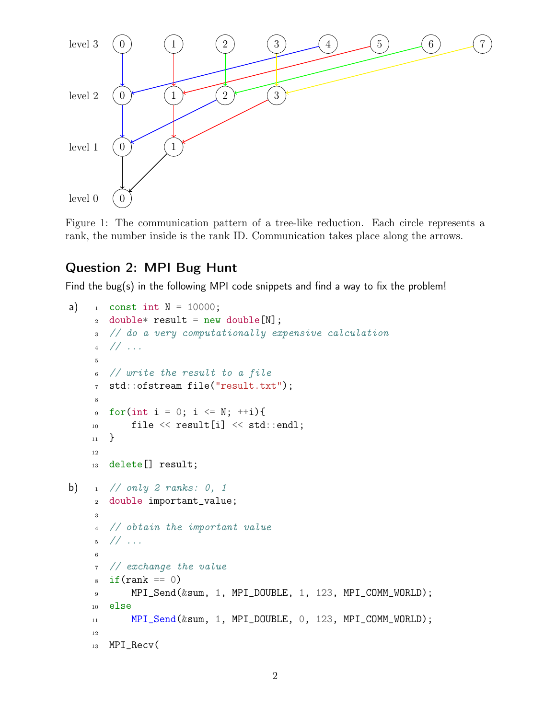<span id="page-1-0"></span>

Figure 1: The communication pattern of a tree-like reduction. Each circle represents a rank, the number inside is the rank ID. Communication takes place along the arrows.

## Question 2: MPI Bug Hunt

Find the bug(s) in the following MPI code snippets and find a way to fix the problem!

```
a) \frac{1}{1} const int N = 10000;
     2 double* result = new double[N];
     3 // do a very computationally expensive calculation
     4 // ...
     5
     6 // write the result to a file
     7 std::ofstream file("result.txt");
     8
     9 for(int i = 0; i <= N; ++i){
    10 file \le result[i] \le std::endl;
    11 }
    12
    13 delete[] result;
b) \frac{1}{1} // only 2 ranks: 0, 1
    2 double important_value;
     3
     4 // obtain the important value
     5 / / ...6
     7 // exchange the value
     s if(rank == 0)
     9 MPI_Send(&sum, 1, MPI_DOUBLE, 1, 123, MPI_COMM_WORLD);
    10 else
    11 MPI_Send(&sum, 1, MPI_DOUBLE, 0, 123, MPI_COMM_WORLD);
    12
    13 MPI_Recv(
```